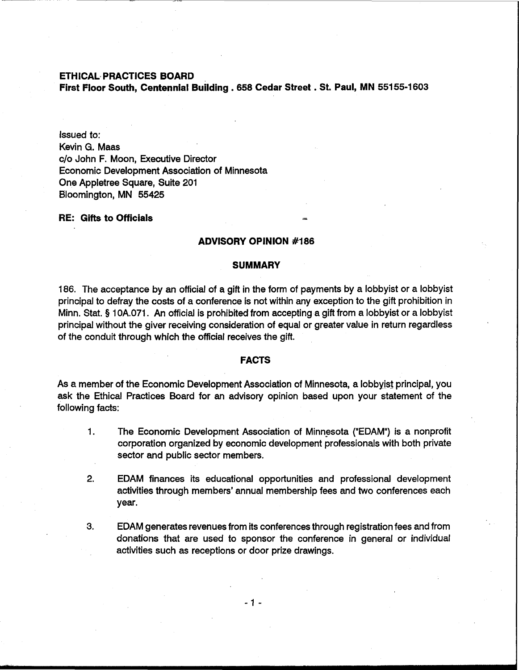# **ETHICAL- PRACTICES BOARD**

**First Floor South, Centennial Building ,658 Cedar Street** . **St. Paul, MN 55155-1 603** 

Issued to: Kevin G. Maas c/o John F. Moon, Executive Director Economic Development Association of Minnesota One Appletree Square, Suite 201 Bloomington, MN 55425

## **RE:** Gifts to Officials

### **ADVISORY OPINION #I 86**

### **SUMMARY**

186. The acceptance by an official of a gift in the form of payments by a lobbyist or a lobbyist principal to defray the costs of a conference is not within any exception to the gift prohibition in Minn. Stat. § 10A.071. An official is prohibited from accepting a gift from a lobbyist or a lobbyist principal without the giver receiving consideration of equal or greater value in return regardless of the conduit through which the official receives the gift.

#### **FACTS**

As a member of the Economic Development Association of Minnesota, a lobbyist principal, you ask the Ethical Practices Board for **an** advisory opinion based upon your statement of the following facts:

- 1. The Economic Development Association of Minnesota ("EDAM") is a nonprofit corporation organized by economic development professionals with both private sector and public sector members.
- 2. EDAM finances its educational opportunities and professional development activities through members' annual membership fees and two conferences each year.
- **3.** EDAM generates revenues from its conferences through registration fees and from donations that are used to sponsor the conference in general or individual activities such as receptions or door prize drawings.

 $-1-$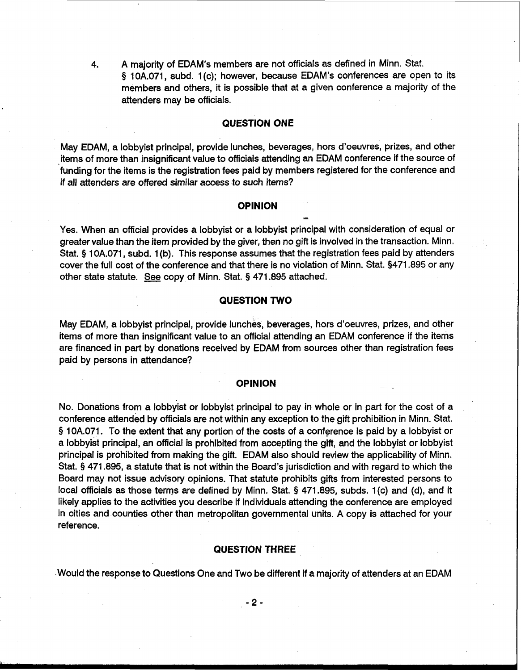4. A majority of EDAM's members are not officials as defined in Minn. Stat. **8** 10A.071, subd. 1 (c); however, because EDAM's conferences are open to its members and others, it is possible that at a given conference a majority of the attenders may be officials.

## **QUESTION ONE**

May EDAM, a lobbyist principal, provide lunches, beverages, hors d'oeuvres, prizes, and other items of more than insignificant value to officials attending an EDAM conference if the source of funding for the items is the registration fees paid by members registered for the conference and if all attenders are offered similar access to such items?

### **OPINION** -

Yes. When an official provides a lobbyist or a lobbyist principal with consideration of equal or greater value than the item provided by the giver, then no gift is involved in the transaction. Minn. Stat. § 10A.071, subd. 1(b). This response assumes that the registration fees paid by attenders cover the full cost of the conference and that there is no violation of Minn. Stat. \$471.895 or any other state statute. **See** copy of Minn. Stat. § 471.895 attached.

# **QUESTION TWO**

May EDAM, a lobbyist principal, provide lunches, beverages, hors d'oeuvres, prizes, and other items of more than insignificant value to an official attending an EDAM conference if the items are financed in part by donations received by EDAM from sources other than registration fees paid by persons in attendance?

#### **OPINION**

No. Donations from a lobbyist or lobbyist principal to pay in whole or in part for the cost of a conference attended by officials are not within any exception to the gift prohibition in Minn. Stat. **9** 10A.071. To the extent that any portion of the costs of a conference is paid by a lobbyist or a lobbyist principal, an official is prohibited from accepting the gift, and the lobbyist or lobbyist principal is prohibited from making the gift. EDAM also should review the applicability of Minn. Stat. § 471.895, a statute that is not within the Board's jurisdiction and with regard to which the Board may not issue advisory opinions. That statute prohibits gifts from interested persons to local officials as those terms are defined by Minn. Stat. § 471.895, subds. 1(c) and (d), and it likely applies to the activities you describe if individuals attending the conference are employed in cities and counties other than metropolitan governmental units. A copy is attached for your reference.

#### **QUESTION THREE**

Would the response to Questions One and Two be different if a majority of attenders at an EDAM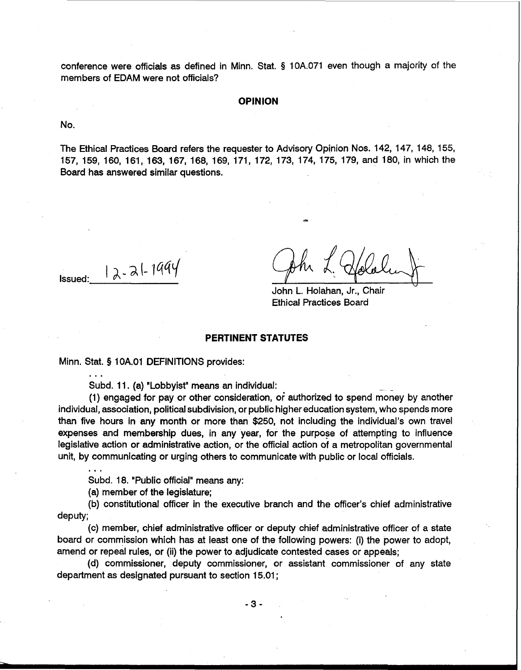conference were officials as defined in Minn. Stat. **5** 10A.071 even though a majority of the members of EDAM were not officials?

#### **OPINION**

No.

The Ethical Practices Board refers the requester to Advisory Opinion Nos. 142, 147, 148, 155, 157, 159, 160, 161, 163, 167, 168, 169, 171, 172, 173, 174, 175, 179, and 180, in which the Board has answered similar questions.

 $I$  Issued:  $| \lambda - \lambda | - 1994$ 

. . .

**..a** 

John L. Holahan, Jr., Chair Ethical Practices Board

#### **PERTINENT STATUTES**

Minn. Stat. **9** 1 OA.O1 DEFINITIONS provides:

Subd. 11. (a) "Lobbyist" means an individual:

(1) engaged for pay or other consideration, or authorized to spend money by another individual, association, political subdivision, or public higher education system, who spends more than five hours in **any** month or more than \$250, not including the individual's own travel expenses and membership dues, in any year, for the purpose of attempting to influence legislative action or administrative action, or the official action of a metropolitan governmental unit, by communicating or urging others to communicate with public or local officials.

Subd. 18. "Public official" means any:

(a) member of the legislature;

(b) constitutional officer in the executive branch and the officer's chief administrative deputy;

(c) member, chief administrative officer or deputy chief administrative officer of a state board or commission which has at least one of the following powers: (i) the power to adopt, amend or repeal rules, or (ii) the power to adjudicate contested cases or appeals;

(d) commissioner, deputy commissioner, or assistant commissioner of any state department as designated pursuant to section 15.01 ;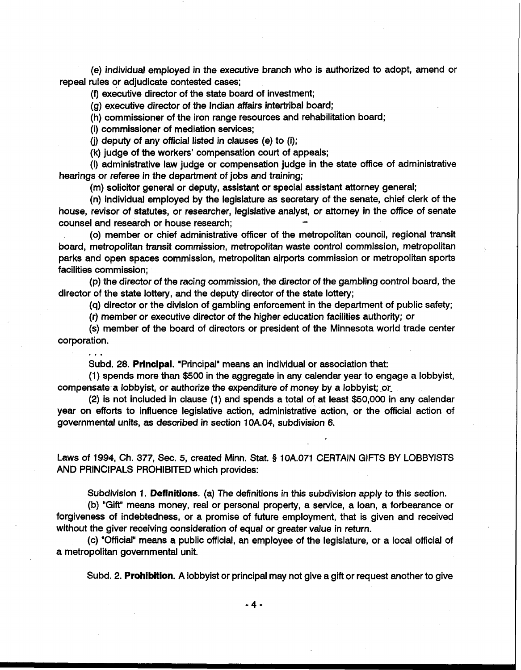(e) individual employed in the executive branch who is authorized to adopt, amend or repeal rules or adjudicate contested cases;

(9 executive director of the state board of investment;

(g) executive director of the Indian affairs intertribal board;

(h) commissioner of the iron range resources and rehabilitation board;

(i) commissioner of mediation services;

(i) deputy of any official listed in clauses (e) to (i);

(k) judge of the workers' compensation court of appeals;

(I) administrative law judge or compensation judge in the state office of administrative hearings or referee in the department of jobs and training;

(m) solicitor general or deputy, assistant or special assistant attorney general;

(n) individual employed by the legislature as secretary of the senate, chief clerk of the house, revisor of statutes, or researcher, legislative analyst, or attorney in the office of senate counsel and research or house research; **4** 

(0) member or chief administrative officer of the metropolitan council, regional transit board, metropolitan transit commission, metropolitan waste control commission, metropolitan parks and open spaces commission, metropolitan airports commission or metropolitan sports facilities commission;

(p) the director of the racing commission, the director of the gambling control board, the director of the state lottery, and the deputy director of the state lottery;

(q) director or the division of gambling enforcement in the department of public safety;

(r) member or executive director of the higher education facilities authority; or

(s) member of the board of directors or president of the Minnesota world trade center corporation. ...

Subd. 28. **Principal.** "Principal" means an individual or association that:

(1) spends more than \$500 in the aggregate in any calendar year to engage a lobbyist, compensate a lobbyist, or authorize the expenditure of money by a lobbyist; or-

(2) is not included in clause (1) and spends a total of at least \$50,000 in any calendar year on efforts to influence legislative action, administrative action, or the official action of governmental units, as described in section 10A.04, subdivision 6.

Laws of 1994, Ch. 377, Sec. 5, created Minn. Stat. § 10A.071 CERTAIN GIFTS BY LOBBYISTS AND PRINCIPALS PROHIBITED which provides:

Subdivision 1. **Definitions.** (a) The definitions in this subdivision apply to this section.

(b) "Gift" means money, real or personal property, a service, a loan, a forbearance or forgiveness of indebtedness, or a promise of future employment, that is given and received without the giver receiving consideration of equal or greater value in return.

(c) "0fficial"means a public official, an employee of the legislature, or a local official of a metropolitan governmental unit.

Subd. 2. **Prohibition.** A lobbyist or principal may not give a gift or request another to give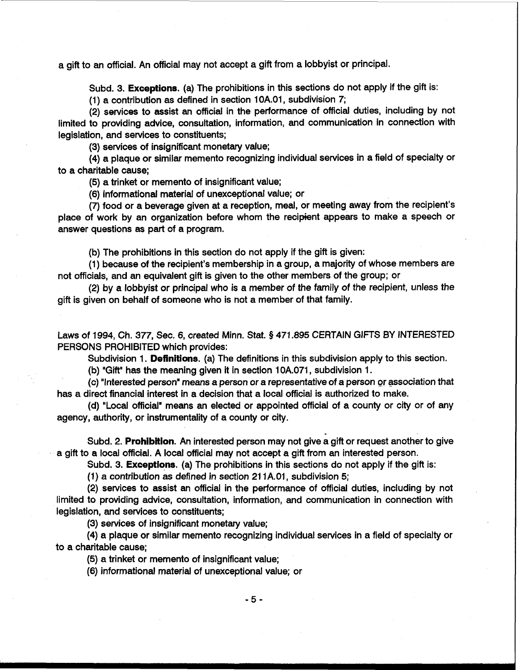a gift to an official. An official may not accept a gift from a lobbyist or principal.

Subd. 3. **Exceptions.** (a) The prohibitions in this sections do not apply if the gift is:

(1) a contribution as defined in section 1 OA.O1, subdivision 7;

(2) services to assist an official in the performance of official duties, including by not limited to providing advice, consultation, information, and communication in connection with legislation, and services to constituents;

(3) services of insignificant monetary value;

(4) a plaque or similar memento recognizing individual services in a field of specialty or to a charitable cause;

(5) a trinket or memento of insignificant value;

(6) informational material of unexceptional value; or

(7) food or a beverage given at a reception, meal, or meeting away from the recipient's place of work by **an** organization before whom the recipient appears to make a speech or answer questions as part of a program.

(b) The prohibitions in this section do not apply if the gift is given:

(1) because of the recipient's membership in a group, a majority of whose members are not officials, and an equivalent gift is given to the other members of the group; or

(2) by a lobbyist or principal who is a member of the family of the recipient, unless the gift is given on behalf of someone who is not a member of that family.

Laws of 1994, Ch. 377, Sec. 6, created Minn. Stat. **9** 471.895 CERTAIN GIFTS BY INTERESTED PERSONS PROHIBITED which provides:

Subdivision 1. **Definitions.** (a) The definitions in this subdivision apply to this section.

**(b)** "Gift" has the meaning given it in section 10A.071, subdivision 1.

(c) "Interested person' means a person or a representative of a person or association that has a direct financial interest in a decision that a local official is authorized to make.

(d) "Local official' means an elected or appointed official of a county or city or of any agency, authority, or instrumentality of a county or city.

Subd. 2. **Prohibition.** An interested person may not give **a** gift or request another to give a gift to a local official. A local official may not accept a gift from an interested person.

Subd. 3. **Exceptions.** (a) The prohibitions in this sections do not apply if the gift is:

(1) a contribution as defined in section 211A.01, subdivision 5;

(2) services to assist an official in the performance of official duties, including by not limited to providing advice, consultation, information, and communication in connection with legislation, and services to constituents;

(3) services of insignificant monetary value;

(4) a plaque or similar memento recognizing individual services in a field of specialty or to a charitable cause;

(5) a trinket or memento of insignificant value;

(6) informational material of unexceptional value; or

 $-5 -$